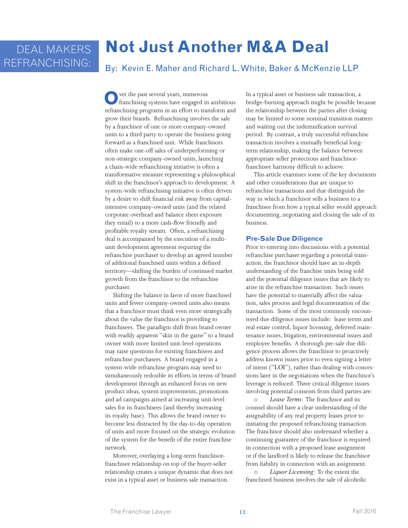# **Not Just Another M&A Deal**

By: Kevin E. Maher and Richard L. White, Baker & McKenzie LLP

**O**ver the past several years, numerous franchising systems have engaged in ambitious refranchising programs in an effort to transform and grow their brands. Refranchising involves the sale by a franchisor of one or more company-owned units to a third party to operate the business going forward as a franchised unit. While franchisors often make one-off sales of underperforming or non-strategic company-owned units, launching a chain-wide refranchising initiative is often a transformative measure representing a philosophical shift in the franchisor's approach to development. A system-wide refranchising initiative is often driven by a desire to shift financial risk away from capitalintensive company-owned units (and the related corporate overhead and balance sheet exposure they entail) to a more cash-flow friendly and profitable royalty stream. Often, a refranchising deal is accompanied by the execution of a multiunit development agreement requiring the refranchise purchaser to develop an agreed number of additional franchised units within a defined territory—shifting the burden of continued market growth from the franchisor to the refranchise purchaser.

Shifting the balance in favor of more franchised units and fewer company-owned units also means that a franchisor must think even more strategically about the value the franchisor is providing to franchisees. The paradigm shift from brand owner with readily apparent "skin in the game" to a brand owner with more limited unit-level operations may raise questions for existing franchisees and refranchise purchasers. A brand engaged in a system-wide refranchise program may need to simultaneously redouble its efforts in terms of brand development through an enhanced focus on new product ideas, system improvements, promotions and ad campaigns aimed at increasing unit-level sales for its franchisees (and thereby increasing its royalty base). This allows the brand owner to become less distracted by the day-to-day operation of units and more focused on the strategic evolution of the system for the benefit of the entire franchise network.

Moreover, overlaying a long-term franchisorfranchisee relationship on top of the buyer-seller relationship creates a unique dynamic that does not exist in a typical asset or business sale transaction.

In a typical asset or business sale transaction, a bridge-burning approach might be possible because the relationship between the parties after closing may be limited to some nominal transition matters and waiting out the indemnification survival period. By contrast, a truly successful refranchise transaction involves a mutually beneficial longterm relationship, making the balance between appropriate seller protections and franchisorfranchisee harmony difficult to achieve.

This article examines some of the key documents and other considerations that are unique to refranchise transactions and that distinguish the way in which a franchisor sells a business to a franchisee from how a typical seller would approach documenting, negotiating and closing the sale of its business.

### **Pre-Sale Due Diligence**

Prior to entering into discussions with a potential refranchise purchaser regarding a potential transaction, the franchisor should have an in-depth understanding of the franchise units being sold and the potential diligence issues that are likely to arise in the refranchise transaction. Such issues have the potential to materially affect the valuation, sales process and legal documentation of the transaction. Some of the most commonly encountered due diligence issues include: lease terms and real estate control, liquor licensing, deferred maintenance issues, litigation, environmental issues and employee benefits. A thorough pre-sale due diligence process allows the franchisor to proactively address known issues prior to even signing a letter of intent ("LOI"), rather than dealing with concessions later in the negotiations when the franchisor's leverage is reduced. Three critical diligence issues involving potential consents from third parties are:

Lease Terms: The franchisor and its counsel should have a clear understanding of the assignability of any real property leases prior to initiating the proposed refranchising transaction. The franchisor should also understand whether a continuing guarantee of the franchisor is required in connection with a proposed lease assignment or if the landlord is likely to release the franchisor from liability in connection with an assignment.

o *Liquor Licensing*: To the extent the franchised business involves the sale of alcoholic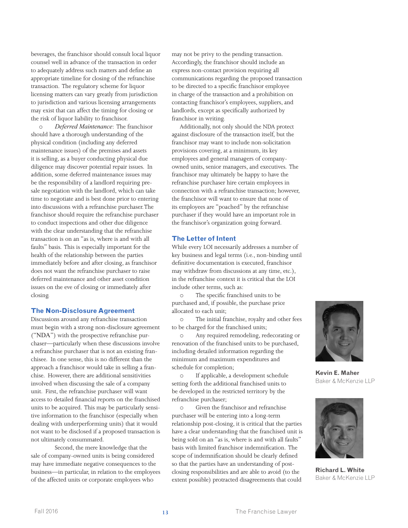beverages, the franchisor should consult local liquor counsel well in advance of the transaction in order to adequately address such matters and define an appropriate timeline for closing of the refranchise transaction. The regulatory scheme for liquor licensing matters can vary greatly from jurisdiction to jurisdiction and various licensing arrangements may exist that can affect the timing for closing or the risk of liquor liability to franchisor.

o *Deferred Maintenance*: The franchisor should have a thorough understanding of the physical condition (including any deferred maintenance issues) of the premises and assets it is selling, as a buyer conducting physical due diligence may discover potential repair issues. In addition, some deferred maintenance issues may be the responsibility of a landlord requiring presale negotiation with the landlord, which can take time to negotiate and is best done prior to entering into discussions with a refranchise purchaser. The franchisor should require the refranchise purchaser to conduct inspections and other due diligence with the clear understanding that the refranchise transaction is on an "as is, where is and with all faults" basis. This is especially important for the health of the relationship between the parties immediately before and after closing, as franchisor does not want the refranchise purchaser to raise deferred maintenance and other asset condition issues on the eve of closing or immediately after closing.

#### **The Non-Disclosure Agreement**

Discussions around any refranchise transaction must begin with a strong non-disclosure agreement ("NDA") with the prospective refranchise purchaser—particularly when these discussions involve a refranchise purchaser that is not an existing franchisee. In one sense, this is no different than the approach a franchisor would take in selling a franchise. However, there are additional sensitivities involved when discussing the sale of a company unit. First, the refranchise purchaser will want access to detailed financial reports on the franchised units to be acquired. This may be particularly sensitive information to the franchisor (especially when dealing with underperforming units) that it would not want to be disclosed if a proposed transaction is not ultimately consummated.

Second, the mere knowledge that the sale of company-owned units is being considered may have immediate negative consequences to the business—in particular, in relation to the employees of the affected units or corporate employees who

may not be privy to the pending transaction. Accordingly, the franchisor should include an express non-contact provision requiring all communications regarding the proposed transaction to be directed to a specific franchisor employee in charge of the transaction and a prohibition on contacting franchisor's employees, suppliers, and landlords, except as specifically authorized by franchisor in writing.

Additionally, not only should the NDA protect against disclosure of the transaction itself, but the franchisor may want to include non-solicitation provisions covering, at a minimum, its key employees and general managers of companyowned units, senior managers, and executives. The franchisor may ultimately be happy to have the refranchise purchaser hire certain employees in connection with a refranchise transaction; however, the franchisor will want to ensure that none of its employees are "poached" by the refranchise purchaser if they would have an important role in the franchisor's organization going forward.

# **The Letter of Intent**

While every LOI necessarily addresses a number of key business and legal terms (i.e., non-binding until definitive documentation is executed, franchisor may withdraw from discussions at any time, etc.), in the refranchise context it is critical that the LOI include other terms, such as:

o The specific franchised units to be purchased and, if possible, the purchase price allocated to each unit;

o The initial franchise, royalty and other fees to be charged for the franchised units;

o Any required remodeling, redecorating or renovation of the franchised units to be purchased, including detailed information regarding the minimum and maximum expenditures and schedule for completion;

o If applicable, a development schedule setting forth the additional franchised units to be developed in the restricted territory by the refranchise purchaser;

o Given the franchisor and refranchise purchaser will be entering into a long-term relationship post-closing, it is critical that the parties have a clear understanding that the franchised unit is being sold on an "as is, where is and with all faults" basis with limited franchisor indemnification. The scope of indemnification should be clearly defined so that the parties have an understanding of postclosing responsibilities and are able to avoid (to the extent possible) protracted disagreements that could



**Kevin E. Maher**  Baker & McKenzie LLP



**Richard L. White** Baker & McKenzie LLP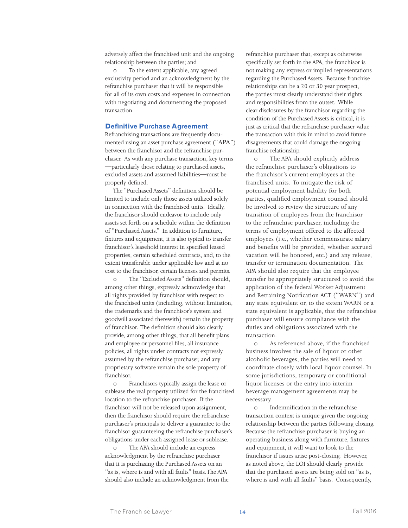adversely affect the franchised unit and the ongoing relationship between the parties; and

o To the extent applicable, any agreed exclusivity period and an acknowledgment by the refranchise purchaser that it will be responsible for all of its own costs and expenses in connection with negotiating and documenting the proposed transaction.

#### **Definitive Purchase Agreement**

Refranchising transactions are frequently documented using an asset purchase agreement ("APA") between the franchisor and the refranchise purchaser. As with any purchase transaction, key terms —particularly those relating to purchased assets, excluded assets and assumed liabilities—must be properly defined.

The "Purchased Assets" definition should be limited to include only those assets utilized solely in connection with the franchised units. Ideally, the franchisor should endeavor to include only assets set forth on a schedule within the definition of "Purchased Assets." In addition to furniture, fixtures and equipment, it is also typical to transfer franchisor's leasehold interest in specified leased properties, certain scheduled contracts, and, to the extent transferable under applicable law and at no cost to the franchisor, certain licenses and permits.

The "Excluded Assets" definition should, among other things, expressly acknowledge that all rights provided by franchisor with respect to the franchised units (including, without limitation, the trademarks and the franchisor's system and goodwill associated therewith) remain the property of franchisor. The definition should also clearly provide, among other things, that all benefit plans and employee or personnel files, all insurance policies, all rights under contracts not expressly assumed by the refranchise purchaser, and any proprietary software remain the sole property of franchisor.

o Franchisors typically assign the lease or sublease the real property utilized for the franchised location to the refranchise purchaser. If the franchisor will not be released upon assignment, then the franchisor should require the refranchise purchaser's principals to deliver a guarantee to the franchisor guaranteeing the refranchise purchaser's obligations under each assigned lease or sublease.

o The APA should include an express acknowledgment by the refranchise purchaser that it is purchasing the Purchased Assets on an "as is, where is and with all faults" basis. The APA should also include an acknowledgment from the refranchise purchaser that, except as otherwise specifically set forth in the APA, the franchisor is not making any express or implied representations regarding the Purchased Assets. Because franchise relationships can be a 20 or 30 year prospect, the parties must clearly understand their rights and responsibilities from the outset. While clear disclosures by the franchisor regarding the condition of the Purchased Assets is critical, it is just as critical that the refranchise purchaser value the transaction with this in mind to avoid future disagreements that could damage the ongoing franchise relationship.

o The APA should explicitly address the refranchise purchaser's obligations to the franchisor's current employees at the franchised units. To mitigate the risk of potential employment liability for both parties, qualified employment counsel should be involved to review the structure of any transition of employees from the franchisor to the refranchise purchaser, including the terms of employment offered to the affected employees (i.e., whether commensurate salary and benefits will be provided, whether accrued vacation will be honored, etc.) and any release, transfer or termination documentation. The APA should also require that the employee transfer be appropriately structured to avoid the application of the federal Worker Adjustment and Retraining Notification ACT ("WARN") and any state equivalent or, to the extent WARN or a state equivalent is applicable, that the refranchise purchaser will ensure compliance with the duties and obligations associated with the transaction.

o As referenced above, if the franchised business involves the sale of liquor or other alcoholic beverages, the parties will need to coordinate closely with local liquor counsel. In some jurisdictions, temporary or conditional liquor licenses or the entry into interim beverage management agreements may be necessary.

o Indemnification in the refranchise transaction context is unique given the ongoing relationship between the parties following closing. Because the refranchise purchaser is buying an operating business along with furniture, fixtures and equipment, it will want to look to the franchisor if issues arise post-closing. However, as noted above, the LOI should clearly provide that the purchased assets are being sold on "as is, where is and with all faults" basis. Consequently,